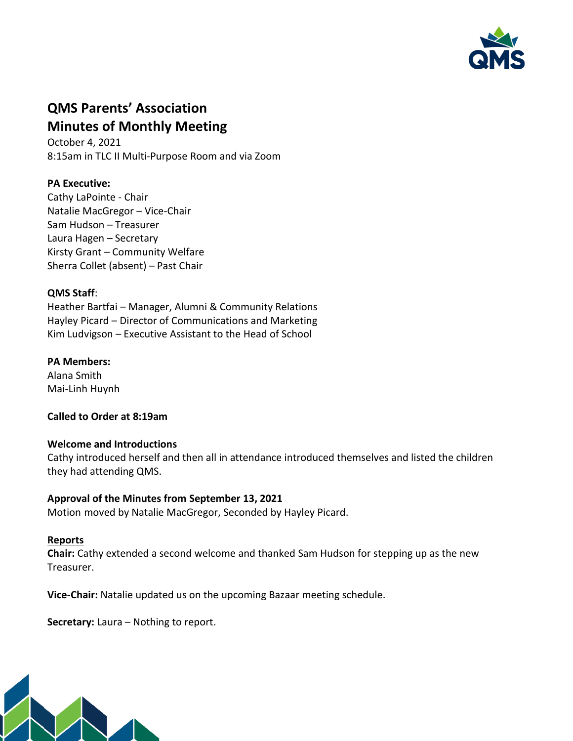

# **QMS Parents' Association Minutes of Monthly Meeting**

October 4, 2021 8:15am in TLC II Multi-Purpose Room and via Zoom

# **PA Executive:**

Cathy LaPointe - Chair Natalie MacGregor – Vice-Chair Sam Hudson – Treasurer Laura Hagen – Secretary Kirsty Grant – Community Welfare Sherra Collet (absent) – Past Chair

### **QMS Staff**:

Heather Bartfai – Manager, Alumni & Community Relations Hayley Picard – Director of Communications and Marketing Kim Ludvigson – Executive Assistant to the Head of School

### **PA Members:**

Alana Smith Mai-Linh Huynh

**Called to Order at 8:19am**

# **Welcome and Introductions**

Cathy introduced herself and then all in attendance introduced themselves and listed the children they had attending QMS.

# **Approval of the Minutes from September 13, 2021**

Motion moved by Natalie MacGregor, Seconded by Hayley Picard.

#### **Reports**

**Chair:** Cathy extended a second welcome and thanked Sam Hudson for stepping up as the new Treasurer.

**Vice-Chair:** Natalie updated us on the upcoming Bazaar meeting schedule.

**Secretary:** Laura – Nothing to report.

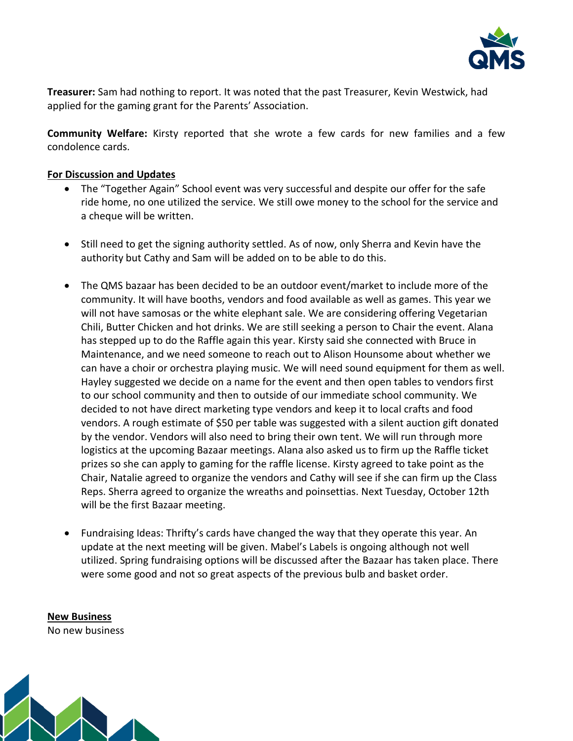

**Treasurer:** Sam had nothing to report. It was noted that the past Treasurer, Kevin Westwick, had applied for the gaming grant for the Parents' Association.

**Community Welfare:** Kirsty reported that she wrote a few cards for new families and a few condolence cards.

#### **For Discussion and Updates**

- The "Together Again" School event was very successful and despite our offer for the safe ride home, no one utilized the service. We still owe money to the school for the service and a cheque will be written.
- Still need to get the signing authority settled. As of now, only Sherra and Kevin have the authority but Cathy and Sam will be added on to be able to do this.
- The QMS bazaar has been decided to be an outdoor event/market to include more of the community. It will have booths, vendors and food available as well as games. This year we will not have samosas or the white elephant sale. We are considering offering Vegetarian Chili, Butter Chicken and hot drinks. We are still seeking a person to Chair the event. Alana has stepped up to do the Raffle again this year. Kirsty said she connected with Bruce in Maintenance, and we need someone to reach out to Alison Hounsome about whether we can have a choir or orchestra playing music. We will need sound equipment for them as well. Hayley suggested we decide on a name for the event and then open tables to vendors first to our school community and then to outside of our immediate school community. We decided to not have direct marketing type vendors and keep it to local crafts and food vendors. A rough estimate of \$50 per table was suggested with a silent auction gift donated by the vendor. Vendors will also need to bring their own tent. We will run through more logistics at the upcoming Bazaar meetings. Alana also asked us to firm up the Raffle ticket prizes so she can apply to gaming for the raffle license. Kirsty agreed to take point as the Chair, Natalie agreed to organize the vendors and Cathy will see if she can firm up the Class Reps. Sherra agreed to organize the wreaths and poinsettias. Next Tuesday, October 12th will be the first Bazaar meeting.
- Fundraising Ideas: Thrifty's cards have changed the way that they operate this year. An update at the next meeting will be given. Mabel's Labels is ongoing although not well utilized. Spring fundraising options will be discussed after the Bazaar has taken place. There were some good and not so great aspects of the previous bulb and basket order.

**New Business** No new business